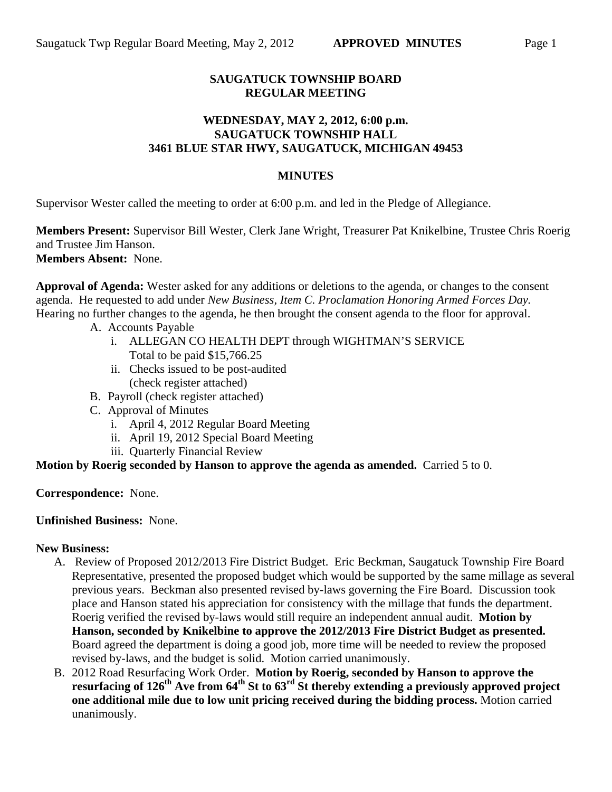# **SAUGATUCK TOWNSHIP BOARD REGULAR MEETING**

### **WEDNESDAY, MAY 2, 2012, 6:00 p.m. SAUGATUCK TOWNSHIP HALL 3461 BLUE STAR HWY, SAUGATUCK, MICHIGAN 49453**

# **MINUTES**

Supervisor Wester called the meeting to order at 6:00 p.m. and led in the Pledge of Allegiance.

**Members Present:** Supervisor Bill Wester, Clerk Jane Wright, Treasurer Pat Knikelbine, Trustee Chris Roerig and Trustee Jim Hanson. **Members Absent:** None.

**Approval of Agenda:** Wester asked for any additions or deletions to the agenda, or changes to the consent agenda. He requested to add under *New Business, Item C. Proclamation Honoring Armed Forces Day.*  Hearing no further changes to the agenda, he then brought the consent agenda to the floor for approval.

- A. Accounts Payable
	- i. ALLEGAN CO HEALTH DEPT through WIGHTMAN'S SERVICE Total to be paid \$15,766.25
	- ii. Checks issued to be post-audited (check register attached)
- B. Payroll (check register attached)
- C. Approval of Minutes
	- i. April 4, 2012 Regular Board Meeting
	- ii. April 19, 2012 Special Board Meeting
	- iii. Quarterly Financial Review

# **Motion by Roerig seconded by Hanson to approve the agenda as amended.** Carried 5 to 0.

**Correspondence:** None.

#### **Unfinished Business:** None.

#### **New Business:**

- A. Review of Proposed 2012/2013 Fire District Budget. Eric Beckman, Saugatuck Township Fire Board Representative, presented the proposed budget which would be supported by the same millage as several previous years. Beckman also presented revised by-laws governing the Fire Board. Discussion took place and Hanson stated his appreciation for consistency with the millage that funds the department. Roerig verified the revised by-laws would still require an independent annual audit. **Motion by Hanson, seconded by Knikelbine to approve the 2012/2013 Fire District Budget as presented.**  Board agreed the department is doing a good job, more time will be needed to review the proposed revised by-laws, and the budget is solid. Motion carried unanimously.
- B. 2012 Road Resurfacing Work Order. **Motion by Roerig, seconded by Hanson to approve the resurfacing of 126th Ave from 64th St to 63rd St thereby extending a previously approved project one additional mile due to low unit pricing received during the bidding process.** Motion carried unanimously.